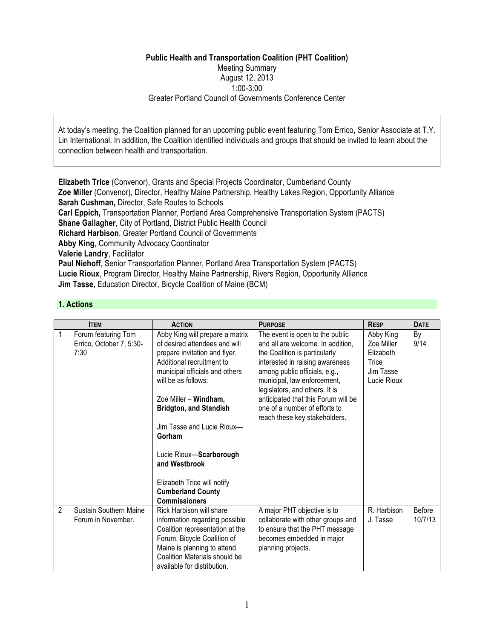# **Public Health and Transportation Coalition (PHT Coalition)** Meeting Summary August 12, 2013 1:00-3:00 Greater Portland Council of Governments Conference Center

At today's meeting, the Coalition planned for an upcoming public event featuring Tom Errico, Senior Associate at T.Y. Lin International. In addition, the Coalition identified individuals and groups that should be invited to learn about the connection between health and transportation.

**Elizabeth Trice** (Convenor), Grants and Special Projects Coordinator, Cumberland County **Zoe Miller** (Convenor), Director, Healthy Maine Partnership, Healthy Lakes Region, Opportunity Alliance **Sarah Cushman,** Director, Safe Routes to Schools **Carl Eppich,** Transportation Planner, Portland Area Comprehensive Transportation System (PACTS) **Shane Gallagher**, City of Portland, District Public Health Council **Richard Harbison**, Greater Portland Council of Governments **Abby King**, Community Advocacy Coordinator **Valerie Landry**, Facilitator **Paul Niehoff**, Senior Transportation Planner, Portland Area Transportation System (PACTS) **Lucie Rioux**, Program Director, Healthy Maine Partnership, Rivers Region, Opportunity Alliance **Jim Tasse,** Education Director, Bicycle Coalition of Maine (BCM)

# **1. Actions**

|                | <b>ITEM</b>                                             | <b>ACTION</b>                                                                                                                                                                                                                                                                                                                                                                                                            | <b>PURPOSE</b>                                                                                                                                                                                                                                                                                                                                      | <b>RESP</b>                                                               | <b>DATE</b>       |
|----------------|---------------------------------------------------------|--------------------------------------------------------------------------------------------------------------------------------------------------------------------------------------------------------------------------------------------------------------------------------------------------------------------------------------------------------------------------------------------------------------------------|-----------------------------------------------------------------------------------------------------------------------------------------------------------------------------------------------------------------------------------------------------------------------------------------------------------------------------------------------------|---------------------------------------------------------------------------|-------------------|
|                | Forum featuring Tom<br>Errico, October 7, 5:30-<br>7:30 | Abby King will prepare a matrix<br>of desired attendees and will<br>prepare invitation and flyer.<br>Additional recruitment to<br>municipal officials and others<br>will be as follows:<br>Zoe Miller - Windham,<br><b>Bridgton, and Standish</b><br>Jim Tasse and Lucie Rioux-<br>Gorham<br>Lucie Rioux-Scarborough<br>and Westbrook<br>Elizabeth Trice will notify<br><b>Cumberland County</b><br><b>Commissioners</b> | The event is open to the public<br>and all are welcome. In addition,<br>the Coalition is particularly<br>interested in raising awareness<br>among public officials, e.g.,<br>municipal, law enforcement,<br>legislators, and others. It is<br>anticipated that this Forum will be<br>one of a number of efforts to<br>reach these key stakeholders. | Abby King<br>Zoe Miller<br>Elizabeth<br>Trice<br>Jim Tasse<br>Lucie Rioux | By<br>9/14        |
| $\overline{2}$ | Sustain Southern Maine<br>Forum in November.            | Rick Harbison will share<br>information regarding possible<br>Coalition representation at the<br>Forum. Bicycle Coalition of<br>Maine is planning to attend.<br>Coalition Materials should be<br>available for distribution.                                                                                                                                                                                             | A major PHT objective is to<br>collaborate with other groups and<br>to ensure that the PHT message<br>becomes embedded in major<br>planning projects.                                                                                                                                                                                               | R. Harbison<br>J. Tasse                                                   | Before<br>10/7/13 |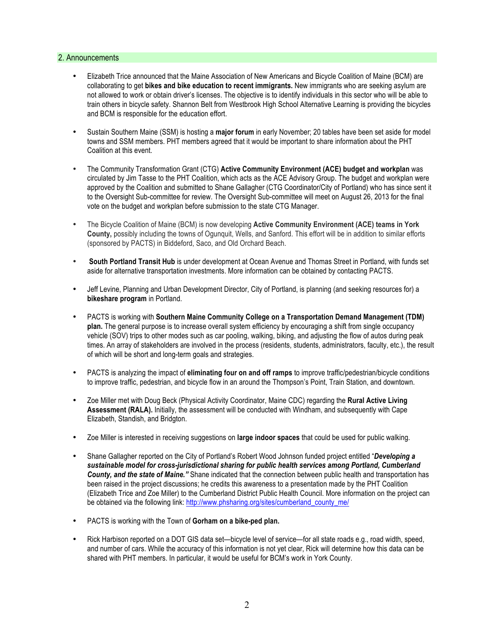## 2. Announcements

- Elizabeth Trice announced that the Maine Association of New Americans and Bicycle Coalition of Maine (BCM) are collaborating to get **bikes and bike education to recent immigrants.** New immigrants who are seeking asylum are not allowed to work or obtain driver's licenses. The objective is to identify individuals in this sector who will be able to train others in bicycle safety. Shannon Belt from Westbrook High School Alternative Learning is providing the bicycles and BCM is responsible for the education effort.
- Sustain Southern Maine (SSM) is hosting a **major forum** in early November; 20 tables have been set aside for model towns and SSM members. PHT members agreed that it would be important to share information about the PHT Coalition at this event.
- The Community Transformation Grant (CTG) **Active Community Environment (ACE) budget and workplan** was circulated by Jim Tasse to the PHT Coalition, which acts as the ACE Advisory Group. The budget and workplan were approved by the Coalition and submitted to Shane Gallagher (CTG Coordinator/City of Portland) who has since sent it to the Oversight Sub-committee for review. The Oversight Sub-committee will meet on August 26, 2013 for the final vote on the budget and workplan before submission to the state CTG Manager.
- The Bicycle Coalition of Maine (BCM) is now developing **Active Community Environment (ACE) teams in York County,** possibly including the towns of Ogunquit, Wells, and Sanford. This effort will be in addition to similar efforts (sponsored by PACTS) in Biddeford, Saco, and Old Orchard Beach.
- **South Portland Transit Hub** is under development at Ocean Avenue and Thomas Street in Portland, with funds set aside for alternative transportation investments. More information can be obtained by contacting PACTS.
- Jeff Levine, Planning and Urban Development Director, City of Portland, is planning (and seeking resources for) a **bikeshare program** in Portland.
- PACTS is working with **Southern Maine Community College on a Transportation Demand Management (TDM) plan.** The general purpose is to increase overall system efficiency by encouraging a shift from single occupancy vehicle (SOV) trips to other modes such as car pooling, walking, biking, and adjusting the flow of autos during peak times. An array of stakeholders are involved in the process (residents, students, administrators, faculty, etc.), the result of which will be short and long-term goals and strategies.
- PACTS is analyzing the impact of **eliminating four on and off ramps** to improve traffic/pedestrian/bicycle conditions to improve traffic, pedestrian, and bicycle flow in an around the Thompson's Point, Train Station, and downtown.
- Zoe Miller met with Doug Beck (Physical Activity Coordinator, Maine CDC) regarding the **Rural Active Living Assessment (RALA).** Initially, the assessment will be conducted with Windham, and subsequently with Cape Elizabeth, Standish, and Bridgton.
- Zoe Miller is interested in receiving suggestions on **large indoor spaces** that could be used for public walking.
- Shane Gallagher reported on the City of Portland's Robert Wood Johnson funded project entitled "*Developing a sustainable model for cross-jurisdictional sharing for public health services among Portland, Cumberland County, and the state of Maine."* Shane indicated that the connection between public health and transportation has been raised in the project discussions; he credits this awareness to a presentation made by the PHT Coalition (Elizabeth Trice and Zoe Miller) to the Cumberland District Public Health Council. More information on the project can be obtained via the following link: http://www.phsharing.org/sites/cumberland\_county\_me/
- PACTS is working with the Town of **Gorham on a bike-ped plan.**
- Rick Harbison reported on a DOT GIS data set—bicycle level of service—for all state roads e.g., road width, speed, and number of cars. While the accuracy of this information is not yet clear, Rick will determine how this data can be shared with PHT members. In particular, it would be useful for BCM's work in York County.